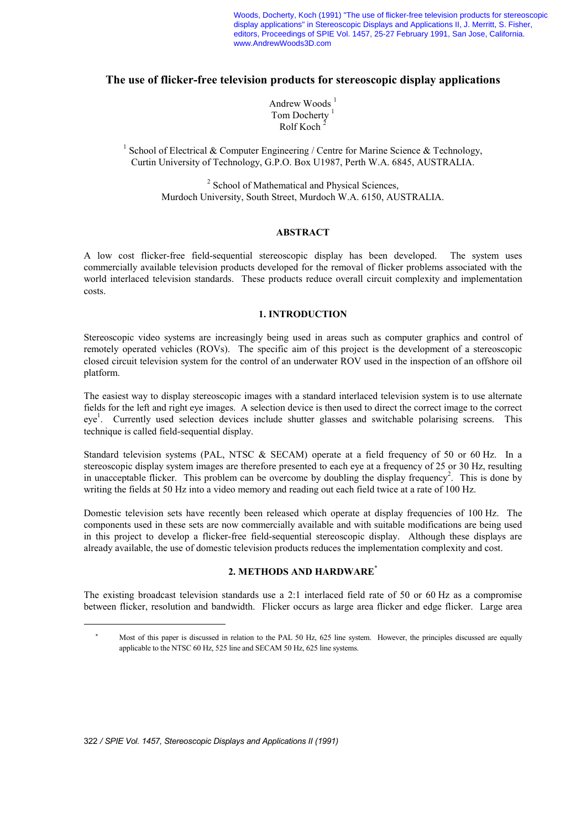Woods, Docherty, Koch (1991) "The use of flicker-free television products for stereoscopic display applications" in Stereoscopic Displays and Applications II, J. Merritt, S. Fisher, editors, Proceedings of SPIE Vol. 1457, 25-27 February 1991, San Jose, California. www.AndrewWoods3D.com

# **The use of flicker-free television products for stereoscopic display applications**

Andrew Woods $<sup>1</sup>$ </sup> Tom Docherty<sup>1</sup> Rolf Koch<sup>2</sup>

<sup>1</sup> School of Electrical & Computer Engineering / Centre for Marine Science & Technology, Curtin University of Technology, G.P.O. Box U1987, Perth W.A. 6845, AUSTRALIA.

> <sup>2</sup> School of Mathematical and Physical Sciences, Murdoch University, South Street, Murdoch W.A. 6150, AUSTRALIA.

### **ABSTRACT**

A low cost flicker-free field-sequential stereoscopic display has been developed. The system uses commercially available television products developed for the removal of flicker problems associated with the world interlaced television standards. These products reduce overall circuit complexity and implementation costs.

### **1. INTRODUCTION**

Stereoscopic video systems are increasingly being used in areas such as computer graphics and control of remotely operated vehicles (ROVs). The specific aim of this project is the development of a stereoscopic closed circuit television system for the control of an underwater ROV used in the inspection of an offshore oil platform.

The easiest way to display stereoscopic images with a standard interlaced television system is to use alternate fields for the left and right eye images. A selection device is then used to direct the correct image to the correct eye<sup>1</sup>. Currently used selection devices include shutter glasses and switchable polarising screens. This technique is called field-sequential display.

Standard television systems (PAL, NTSC & SECAM) operate at a field frequency of 50 or 60 Hz. In a stereoscopic display system images are therefore presented to each eye at a frequency of 25 or 30 Hz, resulting in unacceptable flicker. This problem can be overcome by doubling the display frequency<sup>2</sup>. This is done by writing the fields at 50 Hz into a video memory and reading out each field twice at a rate of 100 Hz.

Domestic television sets have recently been released which operate at display frequencies of 100 Hz. The components used in these sets are now commercially available and with suitable modifications are being used in this project to develop a flicker-free field-sequential stereoscopic display. Although these displays are already available, the use of domestic television products reduces the implementation complexity and cost.

# **2. METHODS AND HARDWARE**\*

The existing broadcast television standards use a 2:1 interlaced field rate of 50 or 60 Hz as a compromise between flicker, resolution and bandwidth. Flicker occurs as large area flicker and edge flicker. Large area

÷,

Most of this paper is discussed in relation to the PAL 50 Hz, 625 line system. However, the principles discussed are equally applicable to the NTSC 60 Hz, 525 line and SECAM 50 Hz, 625 line systems.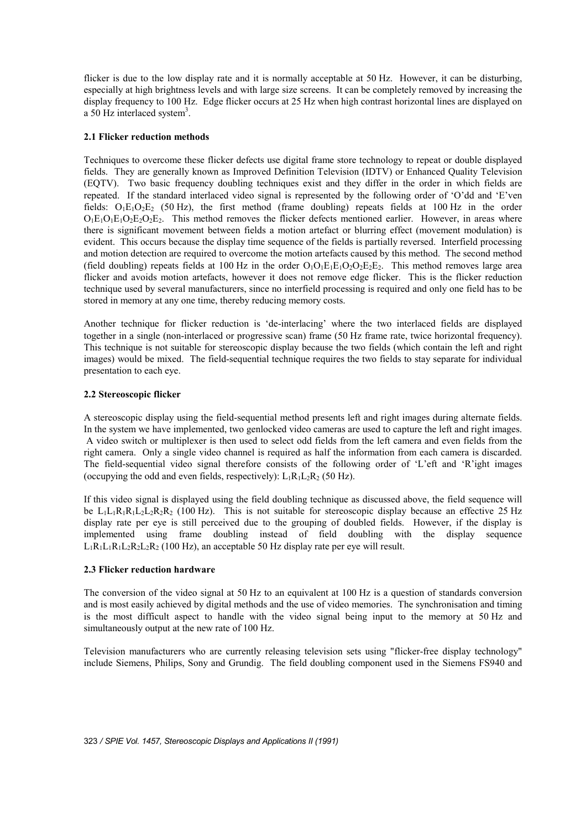flicker is due to the low display rate and it is normally acceptable at 50 Hz. However, it can be disturbing, especially at high brightness levels and with large size screens. It can be completely removed by increasing the display frequency to 100 Hz. Edge flicker occurs at 25 Hz when high contrast horizontal lines are displayed on a 50 Hz interlaced system<sup>3</sup>.

## **2.1 Flicker reduction methods**

Techniques to overcome these flicker defects use digital frame store technology to repeat or double displayed fields. They are generally known as Improved Definition Television (IDTV) or Enhanced Quality Television (EQTV). Two basic frequency doubling techniques exist and they differ in the order in which fields are repeated. If the standard interlaced video signal is represented by the following order of 'O'dd and 'E'ven fields:  $O_1E_1O_2E_2$  (50 Hz), the first method (frame doubling) repeats fields at 100 Hz in the order  $O_1E_1O_1E_1O_2E_2O_2E_2$ . This method removes the flicker defects mentioned earlier. However, in areas where there is significant movement between fields a motion artefact or blurring effect (movement modulation) is evident. This occurs because the display time sequence of the fields is partially reversed. Interfield processing and motion detection are required to overcome the motion artefacts caused by this method. The second method (field doubling) repeats fields at 100 Hz in the order  $O_1O_1E_1E_1O_2O_2E_2E_2$ . This method removes large area flicker and avoids motion artefacts, however it does not remove edge flicker. This is the flicker reduction technique used by several manufacturers, since no interfield processing is required and only one field has to be stored in memory at any one time, thereby reducing memory costs.

Another technique for flicker reduction is 'de-interlacing' where the two interlaced fields are displayed together in a single (non-interlaced or progressive scan) frame (50 Hz frame rate, twice horizontal frequency). This technique is not suitable for stereoscopic display because the two fields (which contain the left and right images) would be mixed. The field-sequential technique requires the two fields to stay separate for individual presentation to each eye.

# **2.2 Stereoscopic flicker**

A stereoscopic display using the field-sequential method presents left and right images during alternate fields. In the system we have implemented, two genlocked video cameras are used to capture the left and right images. A video switch or multiplexer is then used to select odd fields from the left camera and even fields from the right camera. Only a single video channel is required as half the information from each camera is discarded. The field-sequential video signal therefore consists of the following order of 'L'eft and 'R'ight images (occupying the odd and even fields, respectively):  $L_1R_1L_2R_2$  (50 Hz).

If this video signal is displayed using the field doubling technique as discussed above, the field sequence will be  $L_1L_1R_1R_1L_2L_2R_2R_2$  (100 Hz). This is not suitable for stereoscopic display because an effective 25 Hz display rate per eye is still perceived due to the grouping of doubled fields. However, if the display is implemented using frame doubling instead of field doubling with the display sequence  $L_1R_1L_1R_1L_2R_2L_2R_2$  (100 Hz), an acceptable 50 Hz display rate per eye will result.

# **2.3 Flicker reduction hardware**

The conversion of the video signal at 50 Hz to an equivalent at 100 Hz is a question of standards conversion and is most easily achieved by digital methods and the use of video memories. The synchronisation and timing is the most difficult aspect to handle with the video signal being input to the memory at 50 Hz and simultaneously output at the new rate of 100 Hz.

Television manufacturers who are currently releasing television sets using "flicker-free display technology" include Siemens, Philips, Sony and Grundig. The field doubling component used in the Siemens FS940 and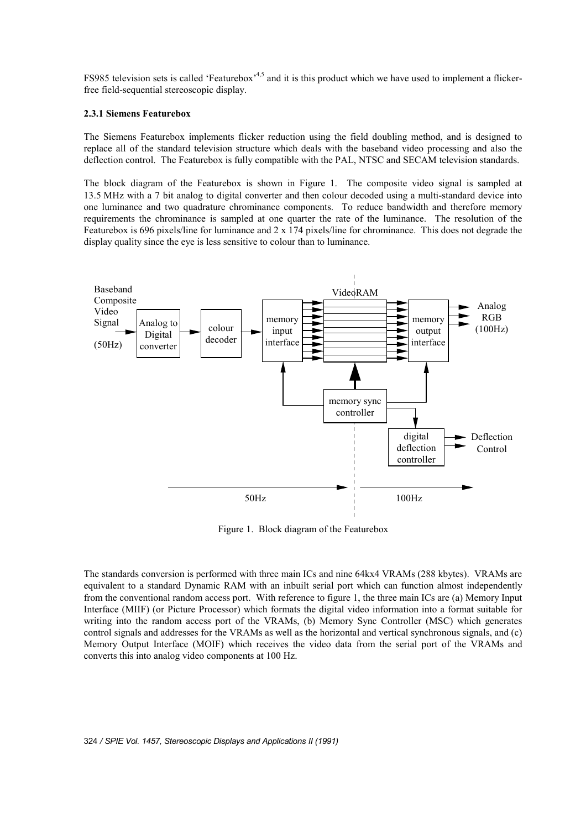FS985 television sets is called 'Featurebox'<sup>4,5</sup> and it is this product which we have used to implement a flickerfree field-sequential stereoscopic display.

## **2.3.1 Siemens Featurebox**

The Siemens Featurebox implements flicker reduction using the field doubling method, and is designed to replace all of the standard television structure which deals with the baseband video processing and also the deflection control. The Featurebox is fully compatible with the PAL, NTSC and SECAM television standards.

The block diagram of the Featurebox is shown in Figure 1. The composite video signal is sampled at 13.5 MHz with a 7 bit analog to digital converter and then colour decoded using a multi-standard device into one luminance and two quadrature chrominance components. To reduce bandwidth and therefore memory requirements the chrominance is sampled at one quarter the rate of the luminance. The resolution of the Featurebox is 696 pixels/line for luminance and 2 x 174 pixels/line for chrominance. This does not degrade the display quality since the eye is less sensitive to colour than to luminance.



Figure 1. Block diagram of the Featurebox

The standards conversion is performed with three main ICs and nine 64kx4 VRAMs (288 kbytes). VRAMs are equivalent to a standard Dynamic RAM with an inbuilt serial port which can function almost independently from the conventional random access port. With reference to figure 1, the three main ICs are (a) Memory Input Interface (MIIF) (or Picture Processor) which formats the digital video information into a format suitable for writing into the random access port of the VRAMs, (b) Memory Sync Controller (MSC) which generates control signals and addresses for the VRAMs as well as the horizontal and vertical synchronous signals, and (c) Memory Output Interface (MOIF) which receives the video data from the serial port of the VRAMs and converts this into analog video components at 100 Hz.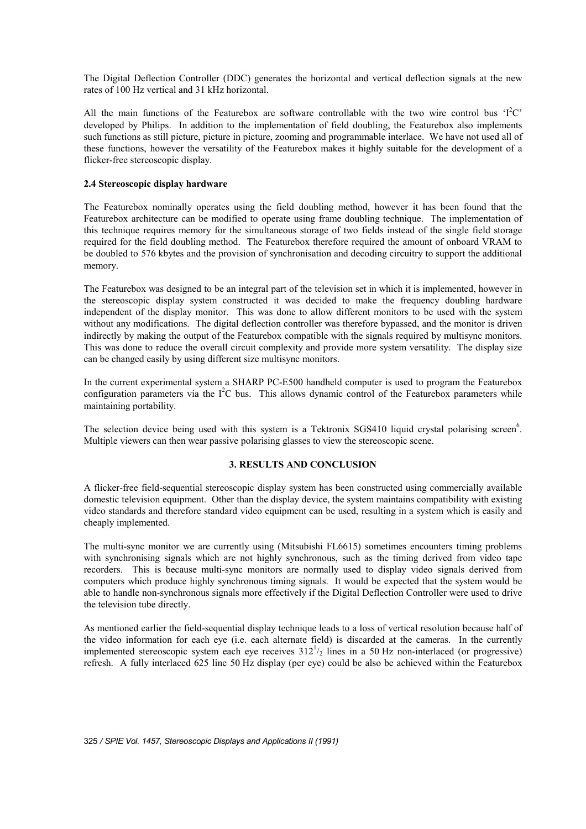The Digital Deflection Controller (DDC) generates the horizontal and vertical deflection signals at the new rates of 100 Hz vertical and 31 kHz horizontal.

All the main functions of the Featurebox are software controllable with the two wire control bus ' $I^2C$ ' developed by Philips. In addition to the implementation of field doubling, the Featurebox also implements such functions as still picture, picture in picture, zooming and programmable interlace. We have not used all of these functions, however the versatility of the Featurebox makes it highly suitable for the development of a flicker-free stereoscopic display.

### **2.4 Stereoscopic display hardware**

The Featurebox nominally operates using the field doubling method, however it has been found that the Featurebox architecture can be modified to operate using frame doubling technique. The implementation of this technique requires memory for the simultaneous storage of two fields instead of the single field storage required for the field doubling method. The Featurebox therefore required the amount of onboard VRAM to be doubled to 576 kbytes and the provision of synchronisation and decoding circuitry to support the additional memory.

The Featurebox was designed to be an integral part of the television set in which it is implemented, however in the stereoscopic display system constructed it was decided to make the frequency doubling hardware independent of the display monitor. This was done to allow different monitors to be used with the system without any modifications. The digital deflection controller was therefore bypassed, and the monitor is driven indirectly by making the output of the Featurebox compatible with the signals required by multisync monitors. This was done to reduce the overall circuit complexity and provide more system versatility. The display size can be changed easily by using different size multisync monitors.

In the current experimental system a SHARP PC-E500 handheld computer is used to program the Featurebox configuration parameters via the  $I^2C$  bus. This allows dynamic control of the Featurebox parameters while maintaining portability.

The selection device being used with this system is a Tektronix SGS410 liquid crystal polarising screen<sup>6</sup>. Multiple viewers can then wear passive polarising glasses to view the stereoscopic scene.

### **3. RESULTS AND CONCLUSION**

A flicker-free field-sequential stereoscopic display system has been constructed using commercially available domestic television equipment. Other than the display device, the system maintains compatibility with existing video standards and therefore standard video equipment can be used, resulting in a system which is easily and cheaply implemented.

The multi-sync monitor we are currently using (Mitsubishi FL6615) sometimes encounters timing problems with synchronising signals which are not highly synchronous, such as the timing derived from video tape recorders. This is because multi-sync monitors are normally used to display video signals derived from computers which produce highly synchronous timing signals. It would be expected that the system would be able to handle non-synchronous signals more effectively if the Digital Deflection Controller were used to drive the television tube directly.

As mentioned earlier the field-sequential display technique leads to a loss of vertical resolution because half of the video information for each eye (i.e. each alternate field) is discarded at the cameras. In the currently implemented stereoscopic system each eye receives  $312^{1/2}$  lines in a 50 Hz non-interlaced (or progressive) refresh. A fully interlaced 625 line 50 Hz display (per eye) could be also be achieved within the Featurebox